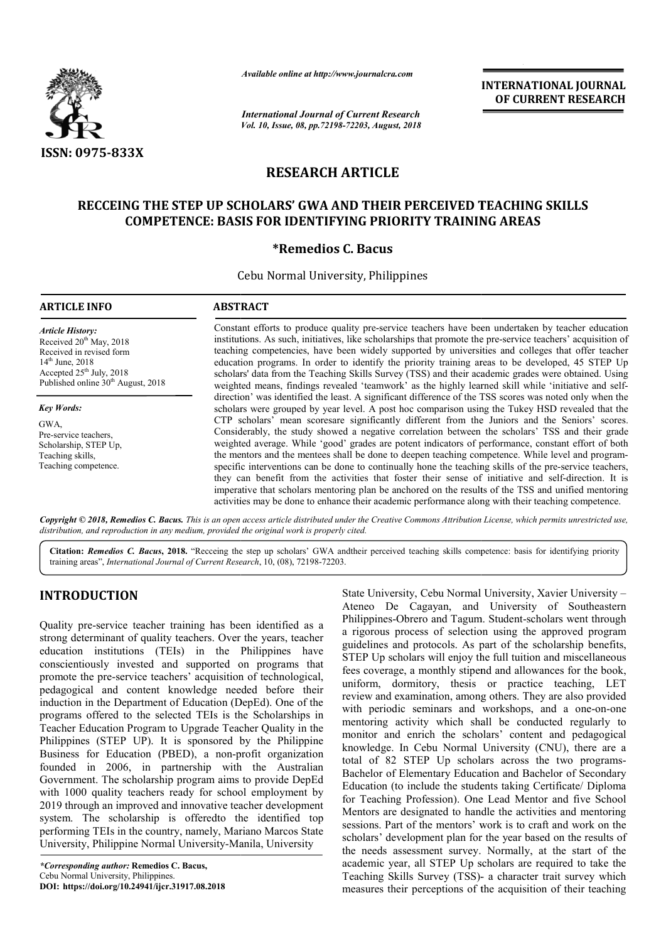

*Available online at http://www.journalcra.com*

*International Journal of Current Research Vol. 10, Issue, 08, pp.72198-72203, August, 2018* **INTERNATIONAL JOURNAL OF CURRENT RESEARCH**

# **RESEARCH ARTICLE**

# RECCEING THE STEP UP SCHOLARS' GWA AND THEIR PERCEIVED TEACHING SKILLS<br>COMPETENCE: BASIS FOR IDENTIFYING PRIORITY TRAINING AREAS **COMPETENCE: BASIS FOR IDENTIFYING PRIORITY TRAINING AREAS**

## **\*Remedios C. Bacus**

Cebu Normal University, Philippines

| <b>ARTICLE INFO</b>                                                                                                                                                                   | <b>ABSTRACT</b>                                                                                                                                                                                                                                                                                                                                                                                                                                                                                                                                                                                                                                                                                                                                                                                                                                                                                                                                                                                                                                              |  |  |  |
|---------------------------------------------------------------------------------------------------------------------------------------------------------------------------------------|--------------------------------------------------------------------------------------------------------------------------------------------------------------------------------------------------------------------------------------------------------------------------------------------------------------------------------------------------------------------------------------------------------------------------------------------------------------------------------------------------------------------------------------------------------------------------------------------------------------------------------------------------------------------------------------------------------------------------------------------------------------------------------------------------------------------------------------------------------------------------------------------------------------------------------------------------------------------------------------------------------------------------------------------------------------|--|--|--|
| <b>Article History:</b><br>Received $20th$ May, 2018<br>Received in revised form<br>$14th$ June, 2018<br>Accepted $25th$ July, 2018<br>Published online 30 <sup>th</sup> August, 2018 | Constant efforts to produce quality pre-service teachers have been undertaken by teacher education<br>institutions. As such, initiatives, like scholarships that promote the pre-service teachers' acquisition of<br>teaching competencies, have been widely supported by universities and colleges that offer teacher<br>education programs. In order to identify the priority training areas to be developed, 45 STEP Up<br>scholars' data from the Teaching Skills Survey (TSS) and their academic grades were obtained. Using<br>weighted means, findings revealed 'teamwork' as the highly learned skill while 'initiative and self-                                                                                                                                                                                                                                                                                                                                                                                                                    |  |  |  |
| <b>Key Words:</b><br>GWA.<br>Pre-service teachers.<br>Scholarship, STEP Up,<br>Teaching skills,<br>Teaching competence.                                                               | direction' was identified the least. A significant difference of the TSS scores was noted only when the<br>scholars were grouped by year level. A post hoc comparison using the Tukey HSD revealed that the<br>CTP scholars' mean scoresare significantly different from the Juniors and the Seniors' scores.<br>Considerably, the study showed a negative correlation between the scholars' TSS and their grade<br>weighted average. While 'good' grades are potent indicators of performance, constant effort of both<br>the mentors and the mentees shall be done to deepen teaching competence. While level and program-<br>specific interventions can be done to continually hone the teaching skills of the pre-service teachers,<br>they can benefit from the activities that foster their sense of initiative and self-direction. It is<br>imperative that scholars mentoring plan be anchored on the results of the TSS and unified mentoring<br>activities may be done to enhance their academic performance along with their teaching competence. |  |  |  |

Copyright © 2018, Remedios C. Bacus. This is an open access article distributed under the Creative Commons Attribution License, which permits unrestricted use, *distribution, and reproduction in any medium, provided the original work is properly cited.*

Citation: Remedios C. Bacus, 2018. "Recceing the step up scholars' GWA andtheir perceived teaching skills competence: basis for identifying priority training areas", *International Journal of Current Research* , 10, (08), 72198-72203.

# **INTRODUCTION**

Quality pre-service teacher training has been identified as a strong determinant of quality teachers. Over the years, teacher education institutions (TEIs) in the Philippines have conscientiously invested and supported on programs that promote the pre-service teachers' acquisition of technological, promote the pre-service teachers' acquisition of technological, pedagogical and content knowledge needed before their induction in the Department of Education (DepEd). One of the programs offered to the selected TEIs is the Scholarships in Teacher Education Program to Upgrade Teacher Quality in the Philippines (STEP UP). It is sponsored by the Philippine Business for Education (PBED), a non-profit organization founded in 2006, in partnership with the Australian Government. The scholarship program aims to provide DepEd with 1000 quality teachers ready for school employment by 2019 through an improved and innovative teacher development system. The scholarship is offeredto the identified top performing TEIs in the country, namely, Mariano Marcos State University, Philippine Normal University-Manila, University

State University, Cebu Normal University, Xavier University<br>
Meen identified as a<br>
Mulippines-Obrero and Tagum. Student-scholars went through<br>
were the years, teacher<br>
a rigorous process of selection using the approved pro Ateneo De Cagayan, and University of Southeastern Philippines-Obrero and Tagum. Student-scholars went through a rigorous process of selection using the approved program guidelines and protocols. As part of the scholarship benefits, STEP Up scholars will enjoy the full tuition and miscellaneous fees coverage, a monthly stipend and allowances for the book, uniform, dormitory, thesis or practice teaching, LET review and examination, among others. They are also provided review and examination, among others. They are also provided<br>with periodic seminars and workshops, and a one-on-one mentoring activity which shall be conducted regularly to monitor and enrich the scholars' content and pedagogical monitor and enrich the scholars' content and pedagogical knowledge. In Cebu Normal University (CNU), there are a total of 82 STEP Up scholars across the two programs-Bachelor of Elementary Education and Bachelor of Secondary Education (to include the students taking Certificate/ Diploma for Teaching Profession). One Lead Mentor and fiv Mentors are designated to handle the activities and mentoring sessions. Part of the mentors' work is to craft and work on the scholars' development plan for the year based on the results of the needs assessment survey. Normally, at the start of the academic year, all STEP Up scholars are required to take the academic year, all STEP Up scholars are required to take the Teaching Skills Survey (TSS)- a character trait survey which measures their perceptions of the acquisition of their teaching State University, Cebu Normal University, Xavier University and protocols. As part of the scholarship benefits, cholars will enjoy the full tuition and miscellaneous ge, a monthly stipend and allowances for the book, dormitory, thesis or practice teaching, LET helor of Elementary Education and Bachelor of Secondary<br>cation (to include the students taking Certificate/ Diploma<br>Teaching Profession). One Lead Mentor and five School tors are designated to handle the activities and mentoring<br>ions. Part of the mentors' work is to craft and work on the<br>lars' development plan for the year based on the results of<br>needs assessment survey. Normally, at the s INTERNATIONAL JOURNAL<br>
Formation of **CURRENT RESEARCH**<br>
For **CURRENT RESEARCH**<br>
For **CURRENT RESEARCH**<br>
For **CURRENT RESEARCH**<br>
Into the secure time in the pre-service teachest are proposed<br> **E**<br> **ERE CREVED TEACHING SKILL**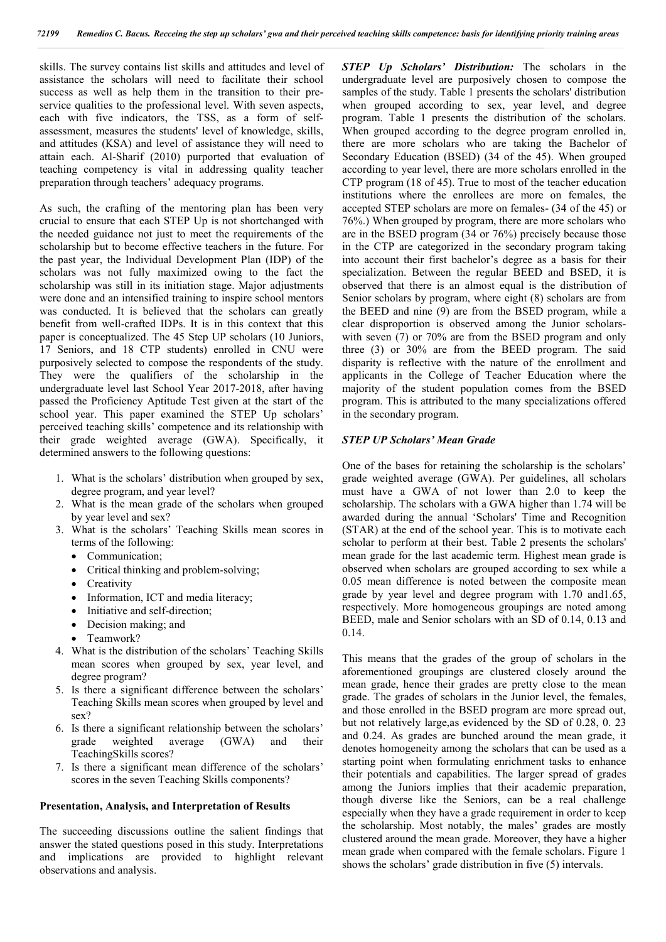skills. The survey contains list skills and attitudes and level of assistance the scholars will need to facilitate their school success as well as help them in the transition to their preservice qualities to the professional level. With seven aspects, each with five indicators, the TSS, as a form of selfassessment, measures the students' level of knowledge, skills, and attitudes (KSA) and level of assistance they will need to attain each. Al-Sharif (2010) purported that evaluation of teaching competency is vital in addressing quality teacher preparation through teachers' adequacy programs.

As such, the crafting of the mentoring plan has been very crucial to ensure that each STEP Up is not shortchanged with the needed guidance not just to meet the requirements of the scholarship but to become effective teachers in the future. For the past year, the Individual Development Plan (IDP) of the scholars was not fully maximized owing to the fact the scholarship was still in its initiation stage. Major adjustments were done and an intensified training to inspire school mentors was conducted. It is believed that the scholars can greatly benefit from well-crafted IDPs. It is in this context that this paper is conceptualized. The 45 Step UP scholars (10 Juniors, 17 Seniors, and 18 CTP students) enrolled in CNU were purposively selected to compose the respondents of the study. They were the qualifiers of the scholarship in the undergraduate level last School Year 2017-2018, after having passed the Proficiency Aptitude Test given at the start of the school year. This paper examined the STEP Up scholars' perceived teaching skills' competence and its relationship with their grade weighted average (GWA). Specifically, it determined answers to the following questions:

- 1. What is the scholars' distribution when grouped by sex, degree program, and year level?
- 2. What is the mean grade of the scholars when grouped by year level and sex?
- 3. What is the scholars' Teaching Skills mean scores in terms of the following:
	- Communication;
	- Critical thinking and problem-solving;
	- Creativity
	- Information, ICT and media literacy;
	- Initiative and self-direction;
	- Decision making; and
	- Teamwork?
- 4. What is the distribution of the scholars' Teaching Skills mean scores when grouped by sex, year level, and degree program?
- 5. Is there a significant difference between the scholars' Teaching Skills mean scores when grouped by level and sex?
- 6. Is there a significant relationship between the scholars' grade weighted average (GWA) and their weighted average (GWA) and their TeachingSkills scores?
- 7. Is there a significant mean difference of the scholars' scores in the seven Teaching Skills components?

#### **Presentation, Analysis, and Interpretation of Results**

The succeeding discussions outline the salient findings that answer the stated questions posed in this study. Interpretations and implications are provided to highlight relevant observations and analysis.

*STEP Up Scholars' Distribution:* The scholars in the undergraduate level are purposively chosen to compose the samples of the study. Table 1 presents the scholars' distribution when grouped according to sex, year level, and degree program. Table 1 presents the distribution of the scholars. When grouped according to the degree program enrolled in, there are more scholars who are taking the Bachelor of Secondary Education (BSED) (34 of the 45). When grouped according to year level, there are more scholars enrolled in the CTP program (18 of 45). True to most of the teacher education institutions where the enrollees are more on females, the accepted STEP scholars are more on females- (34 of the 45) or 76%.) When grouped by program, there are more scholars who are in the BSED program (34 or 76%) precisely because those in the CTP are categorized in the secondary program taking into account their first bachelor's degree as a basis for their specialization. Between the regular BEED and BSED, it is observed that there is an almost equal is the distribution of Senior scholars by program, where eight (8) scholars are from the BEED and nine (9) are from the BSED program, while a clear disproportion is observed among the Junior scholarswith seven (7) or 70% are from the BSED program and only three (3) or 30% are from the BEED program. The said disparity is reflective with the nature of the enrollment and applicants in the College of Teacher Education where the majority of the student population comes from the BSED program. This is attributed to the many specializations offered in the secondary program.

#### *STEP UP Scholars' Mean Grade*

One of the bases for retaining the scholarship is the scholars' grade weighted average (GWA). Per guidelines, all scholars must have a GWA of not lower than 2.0 to keep the scholarship. The scholars with a GWA higher than 1.74 will be awarded during the annual 'Scholars' Time and Recognition (STAR) at the end of the school year. This is to motivate each scholar to perform at their best. Table 2 presents the scholars' mean grade for the last academic term. Highest mean grade is observed when scholars are grouped according to sex while a 0.05 mean difference is noted between the composite mean grade by year level and degree program with 1.70 and1.65, respectively. More homogeneous groupings are noted among BEED, male and Senior scholars with an SD of 0.14, 0.13 and 0.14.

This means that the grades of the group of scholars in the aforementioned groupings are clustered closely around the mean grade, hence their grades are pretty close to the mean grade. The grades of scholars in the Junior level, the females, and those enrolled in the BSED program are more spread out, but not relatively large,as evidenced by the SD of 0.28, 0. 23 and 0.24. As grades are bunched around the mean grade, it denotes homogeneity among the scholars that can be used as a starting point when formulating enrichment tasks to enhance their potentials and capabilities. The larger spread of grades among the Juniors implies that their academic preparation, though diverse like the Seniors, can be a real challenge especially when they have a grade requirement in order to keep the scholarship. Most notably, the males' grades are mostly clustered around the mean grade. Moreover, they have a higher mean grade when compared with the female scholars. Figure 1 shows the scholars' grade distribution in five (5) intervals.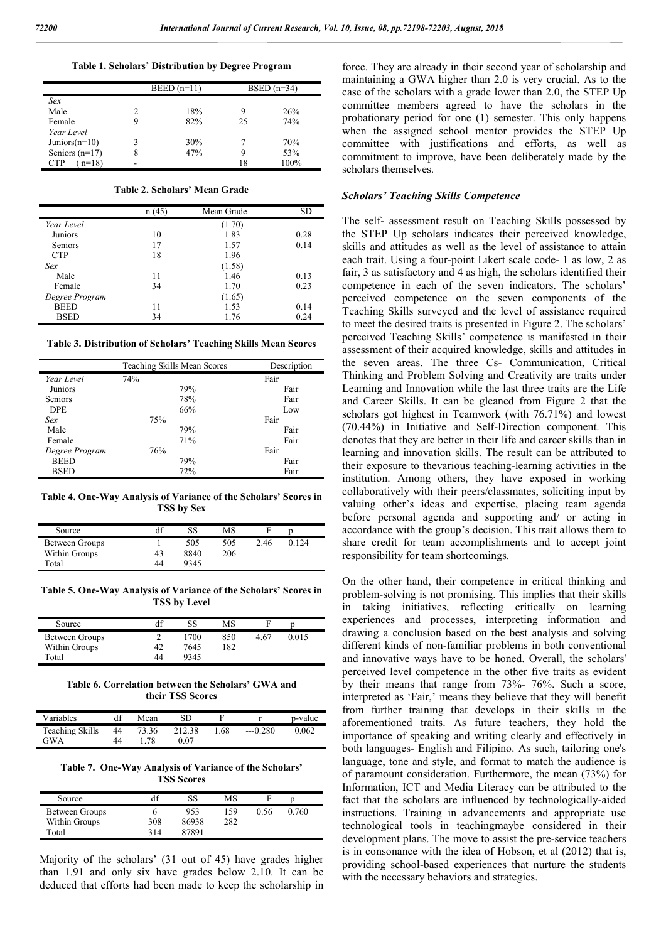|  |  |  | Table 1. Scholars' Distribution by Degree Program |  |  |
|--|--|--|---------------------------------------------------|--|--|
|--|--|--|---------------------------------------------------|--|--|

|                  | $BEED(n=11)$ | BSED $(n=34)$ |      |  |
|------------------|--------------|---------------|------|--|
| Sex              |              |               |      |  |
| Male             | 18%          | 9             | 26%  |  |
| Female           | 82%          | 25            | 74%  |  |
| Year Level       |              |               |      |  |
| Juniors $(n=10)$ | 30%          |               | 70%  |  |
| Seniors $(n=17)$ | 47%          | 9             | 53%  |  |
| $n=18$<br>CTP    |              | 18            | 100% |  |

**Table 2. Scholars' Mean Grade**

|                | n(45) | Mean Grade | SD   |
|----------------|-------|------------|------|
| Year Level     |       | (1.70)     |      |
| Juniors        | 10    | 1.83       | 0.28 |
| <b>Seniors</b> | 17    | 1.57       | 0.14 |
| <b>CTP</b>     | 18    | 1.96       |      |
| Sex            |       | (1.58)     |      |
| Male           | 11    | 1.46       | 0.13 |
| Female         | 34    | 1.70       | 0.23 |
| Degree Program |       | (1.65)     |      |
| <b>BEED</b>    | 11    | 1.53       | 0.14 |
| <b>BSED</b>    | 34    | 1.76       | 0.24 |

**Table 3. Distribution of Scholars' Teaching Skills Mean Scores**

|                | Teaching Skills Mean Scores | Description |
|----------------|-----------------------------|-------------|
| Year Level     | 74%                         | Fair        |
| Juniors        | 79%                         | Fair        |
| <b>Seniors</b> | 78%                         | Fair        |
| <b>DPE</b>     | 66%                         | Low         |
| Sex            | 75%                         | Fair        |
| Male           | 79%                         | Fair        |
| Female         | 71%                         | Fair        |
| Degree Program | 76%                         | Fair        |
| <b>BEED</b>    | 79%                         | Fair        |
| <b>BSED</b>    | 72%                         | Fair        |

**Table 4. One-Way Analysis of Variance of the Scholars' Scores in TSS by Sex**

| Source         |    | SS   | MS  | F    |         |  |
|----------------|----|------|-----|------|---------|--|
| Between Groups |    | 505  | 505 | 2.46 | 0 1 2 4 |  |
| Within Groups  | 43 | 8840 | 206 |      |         |  |
| Total          | 44 | 9345 |     |      |         |  |

**Table 5. One-Way Analysis of Variance of the Scholars' Scores in TSS by Level**

| Source         |    | SS   | MS  |      |       |
|----------------|----|------|-----|------|-------|
| Between Groups |    | 1700 | 850 | 4.67 | 0.015 |
| Within Groups  | 42 | 7645 | 182 |      |       |
| Total          | 44 | 9345 |     |      |       |

**Table 6. Correlation between the Scholars' GWA and their TSS Scores**

| Variables              |    | Mean  | SD     |      |            | p-value |
|------------------------|----|-------|--------|------|------------|---------|
| <b>Teaching Skills</b> | 44 | 73.36 | 212.38 | 1.68 | $---0.280$ | 0.062   |
| <b>GWA</b>             | 44 | .78   | 0.07   |      |            |         |

**Table 7. One-Way Analysis of Variance of the Scholars' TSS Scores**

| Source         | df  | SS    | MS  |      |       |  |
|----------------|-----|-------|-----|------|-------|--|
| Between Groups |     | 953   | 159 | 0.56 | 0.760 |  |
| Within Groups  | 308 | 86938 | 282 |      |       |  |
| Total          | 314 | 87891 |     |      |       |  |

Majority of the scholars' (31 out of 45) have grades higher than 1.91 and only six have grades below 2.10. It can be deduced that efforts had been made to keep the scholarship in force. They are already in their second year of scholarship and maintaining a GWA higher than 2.0 is very crucial. As to the case of the scholars with a grade lower than 2.0, the STEP Up committee members agreed to have the scholars in the probationary period for one (1) semester. This only happens when the assigned school mentor provides the STEP Up committee with justifications and efforts, as well as commitment to improve, have been deliberately made by the scholars themselves.

### *Scholars' Teaching Skills Competence*

The self- assessment result on Teaching Skills possessed by the STEP Up scholars indicates their perceived knowledge, skills and attitudes as well as the level of assistance to attain each trait. Using a four-point Likert scale code- 1 as low, 2 as fair, 3 as satisfactory and 4 as high, the scholars identified their competence in each of the seven indicators. The scholars' perceived competence on the seven components of the Teaching Skills surveyed and the level of assistance required to meet the desired traits is presented in Figure 2. The scholars' perceived Teaching Skills' competence is manifested in their assessment of their acquired knowledge, skills and attitudes in the seven areas. The three Cs- Communication, Critical Thinking and Problem Solving and Creativity are traits under Learning and Innovation while the last three traits are the Life and Career Skills. It can be gleaned from Figure 2 that the scholars got highest in Teamwork (with 76.71%) and lowest (70.44%) in Initiative and Self-Direction component. This denotes that they are better in their life and career skills than in learning and innovation skills. The result can be attributed to their exposure to thevarious teaching-learning activities in the institution. Among others, they have exposed in working collaboratively with their peers/classmates, soliciting input by valuing other's ideas and expertise, placing team agenda before personal agenda and supporting and/ or acting in accordance with the group's decision. This trait allows them to share credit for team accomplishments and to accept joint responsibility for team shortcomings.

On the other hand, their competence in critical thinking and problem-solving is not promising. This implies that their skills in taking initiatives, reflecting critically on learning experiences and processes, interpreting information and drawing a conclusion based on the best analysis and solving different kinds of non-familiar problems in both conventional and innovative ways have to be honed. Overall, the scholars' perceived level competence in the other five traits as evident by their means that range from 73%- 76%. Such a score, interpreted as 'Fair,' means they believe that they will benefit from further training that develops in their skills in the aforementioned traits. As future teachers, they hold the importance of speaking and writing clearly and effectively in both languages- English and Filipino. As such, tailoring one's language, tone and style, and format to match the audience is of paramount consideration. Furthermore, the mean (73%) for Information, ICT and Media Literacy can be attributed to the fact that the scholars are influenced by technologically-aided instructions. Training in advancements and appropriate use technological tools in teachingmaybe considered in their development plans. The move to assist the pre-service teachers is in consonance with the idea of Hobson, et al (2012) that is, providing school-based experiences that nurture the students with the necessary behaviors and strategies.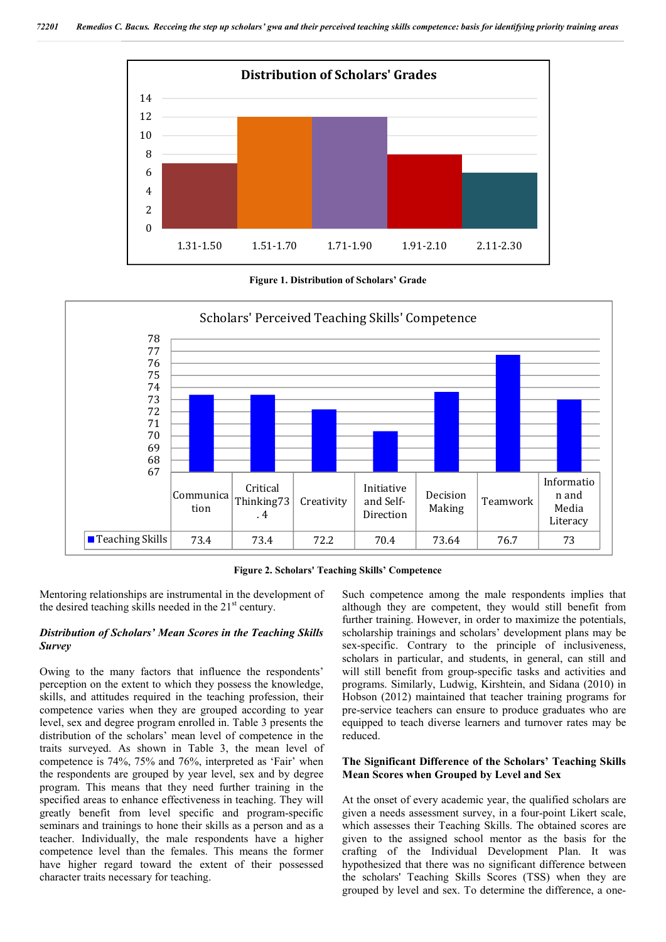

**Figure 1. Distribution of Scholars' Grade**



**Figure 2. Scholars' Teaching Skills' Competence**

Mentoring relationships are instrumental in the development of the desired teaching skills needed in the  $21<sup>st</sup>$  century.

### *Distribution of Scholars' Mean Scores in the Teaching Skills Survey*

Owing to the many factors that influence the respondents' perception on the extent to which they possess the knowledge, skills, and attitudes required in the teaching profession, their competence varies when they are grouped according to year level, sex and degree program enrolled in. Table 3 presents the distribution of the scholars' mean level of competence in the traits surveyed. As shown in Table 3, the mean level of competence is 74%, 75% and 76%, interpreted as 'Fair' when the respondents are grouped by year level, sex and by degree program. This means that they need further training in the specified areas to enhance effectiveness in teaching. They will greatly benefit from level specific and program-specific seminars and trainings to hone their skills as a person and as a teacher. Individually, the male respondents have a higher competence level than the females. This means the former have higher regard toward the extent of their possessed character traits necessary for teaching.

Such competence among the male respondents implies that although they are competent, they would still benefit from further training. However, in order to maximize the potentials, scholarship trainings and scholars' development plans may be sex-specific. Contrary to the principle of inclusiveness, scholars in particular, and students, in general, can still and will still benefit from group-specific tasks and activities and programs. Similarly, Ludwig, Kirshtein, and Sidana (2010) in Hobson (2012) maintained that teacher training programs for pre-service teachers can ensure to produce graduates who are equipped to teach diverse learners and turnover rates may be reduced.

### **The Significant Difference of the Scholars' Teaching Skills Mean Scores when Grouped by Level and Sex**

At the onset of every academic year, the qualified scholars are given a needs assessment survey, in a four-point Likert scale, which assesses their Teaching Skills. The obtained scores are given to the assigned school mentor as the basis for the crafting of the Individual Development Plan. It was hypothesized that there was no significant difference between the scholars' Teaching Skills Scores (TSS) when they are grouped by level and sex. To determine the difference, a one-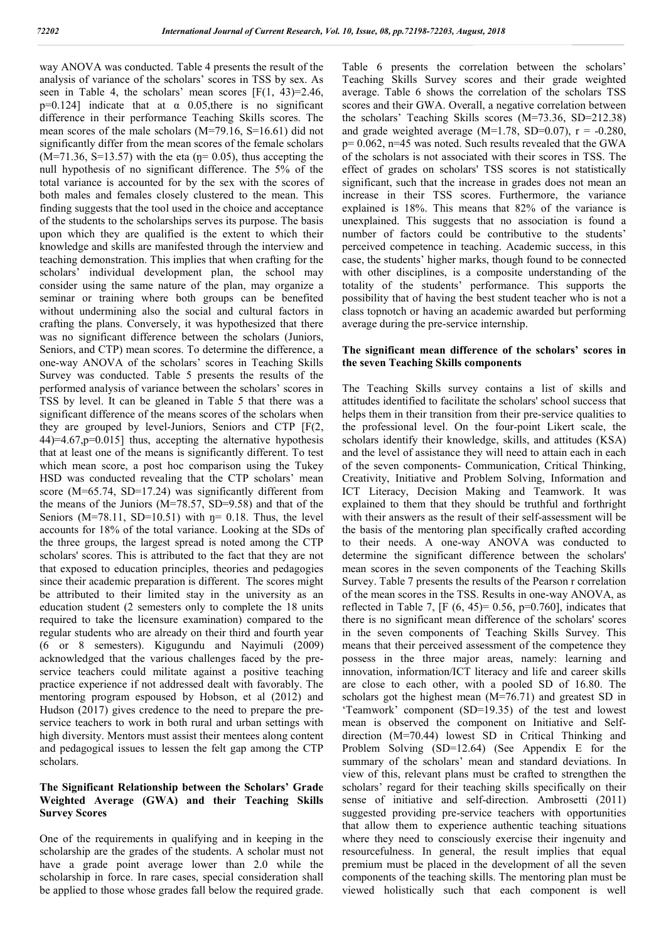way ANOVA was conducted. Table 4 presents the result of the analysis of variance of the scholars' scores in TSS by sex. As seen in Table 4, the scholars' mean scores  $[F(1, 43)=2.46]$ , p=0.124] indicate that at  $\alpha$  0.05, there is no significant difference in their performance Teaching Skills scores. The mean scores of the male scholars (M=79.16, S=16.61) did not significantly differ from the mean scores of the female scholars  $(M=71.36, S=13.57)$  with the eta ( $\eta$ = 0.05), thus accepting the null hypothesis of no significant difference. The 5% of the total variance is accounted for by the sex with the scores of both males and females closely clustered to the mean. This finding suggests that the tool used in the choice and acceptance of the students to the scholarships serves its purpose. The basis upon which they are qualified is the extent to which their knowledge and skills are manifested through the interview and teaching demonstration. This implies that when crafting for the scholars' individual development plan, the school may consider using the same nature of the plan, may organize a seminar or training where both groups can be benefited without undermining also the social and cultural factors in crafting the plans. Conversely, it was hypothesized that there was no significant difference between the scholars (Juniors, Seniors, and CTP) mean scores. To determine the difference, a one-way ANOVA of the scholars' scores in Teaching Skills Survey was conducted. Table 5 presents the results of the performed analysis of variance between the scholars' scores in TSS by level. It can be gleaned in Table 5 that there was a significant difference of the means scores of the scholars when they are grouped by level-Juniors, Seniors and CTP [F(2, 44)=4.67,p=0.015] thus, accepting the alternative hypothesis that at least one of the means is significantly different. To test which mean score, a post hoc comparison using the Tukey HSD was conducted revealing that the CTP scholars' mean score (M=65.74, SD=17.24) was significantly different from the means of the Juniors (M=78.57, SD=9.58) and that of the Seniors ( $M=78.11$ , SD=10.51) with  $\eta$ = 0.18. Thus, the level accounts for 18% of the total variance. Looking at the SDs of the three groups, the largest spread is noted among the CTP scholars' scores. This is attributed to the fact that they are not that exposed to education principles, theories and pedagogies since their academic preparation is different. The scores might be attributed to their limited stay in the university as an education student (2 semesters only to complete the 18 units required to take the licensure examination) compared to the regular students who are already on their third and fourth year (6 or 8 semesters). Kigugundu and Nayimuli (2009) acknowledged that the various challenges faced by the preservice teachers could militate against a positive teaching practice experience if not addressed dealt with favorably. The mentoring program espoused by Hobson, et al (2012) and Hudson (2017) gives credence to the need to prepare the preservice teachers to work in both rural and urban settings with high diversity. Mentors must assist their mentees along content and pedagogical issues to lessen the felt gap among the CTP scholars.

## **The Significant Relationship between the Scholars' Grade Weighted Average (GWA) and their Teaching Skills Survey Scores**

One of the requirements in qualifying and in keeping in the scholarship are the grades of the students. A scholar must not have a grade point average lower than 2.0 while the scholarship in force. In rare cases, special consideration shall be applied to those whose grades fall below the required grade. Table 6 presents the correlation between the scholars' Teaching Skills Survey scores and their grade weighted average. Table 6 shows the correlation of the scholars TSS scores and their GWA. Overall, a negative correlation between the scholars' Teaching Skills scores (M=73.36, SD=212.38) and grade weighted average  $(M=1.78, SD=0.07)$ ,  $r = -0.280$ , p= 0.062, n=45 was noted. Such results revealed that the GWA of the scholars is not associated with their scores in TSS. The effect of grades on scholars' TSS scores is not statistically significant, such that the increase in grades does not mean an increase in their TSS scores. Furthermore, the variance explained is 18%. This means that 82% of the variance is unexplained. This suggests that no association is found a number of factors could be contributive to the students' perceived competence in teaching. Academic success, in this case, the students' higher marks, though found to be connected with other disciplines, is a composite understanding of the totality of the students' performance. This supports the possibility that of having the best student teacher who is not a class topnotch or having an academic awarded but performing average during the pre-service internship.

### **The significant mean difference of the scholars' scores in the seven Teaching Skills components**

The Teaching Skills survey contains a list of skills and attitudes identified to facilitate the scholars' school success that helps them in their transition from their pre-service qualities to the professional level. On the four-point Likert scale, the scholars identify their knowledge, skills, and attitudes (KSA) and the level of assistance they will need to attain each in each of the seven components- Communication, Critical Thinking, Creativity, Initiative and Problem Solving, Information and ICT Literacy, Decision Making and Teamwork. It was explained to them that they should be truthful and forthright with their answers as the result of their self-assessment will be the basis of the mentoring plan specifically crafted according to their needs. A one-way ANOVA was conducted to determine the significant difference between the scholars' mean scores in the seven components of the Teaching Skills Survey. Table 7 presents the results of the Pearson r correlation of the mean scores in the TSS. Results in one-way ANOVA, as reflected in Table 7,  $[F (6, 45) = 0.56, p=0.760]$ , indicates that there is no significant mean difference of the scholars' scores in the seven components of Teaching Skills Survey. This means that their perceived assessment of the competence they possess in the three major areas, namely: learning and innovation, information/ICT literacy and life and career skills are close to each other, with a pooled SD of 16.80. The scholars got the highest mean (M=76.71) and greatest SD in 'Teamwork' component (SD=19.35) of the test and lowest mean is observed the component on Initiative and Selfdirection (M=70.44) lowest SD in Critical Thinking and Problem Solving (SD=12.64) (See Appendix E for the summary of the scholars' mean and standard deviations. In view of this, relevant plans must be crafted to strengthen the scholars' regard for their teaching skills specifically on their sense of initiative and self-direction. Ambrosetti (2011) suggested providing pre-service teachers with opportunities that allow them to experience authentic teaching situations where they need to consciously exercise their ingenuity and resourcefulness. In general, the result implies that equal premium must be placed in the development of all the seven components of the teaching skills. The mentoring plan must be viewed holistically such that each component is well